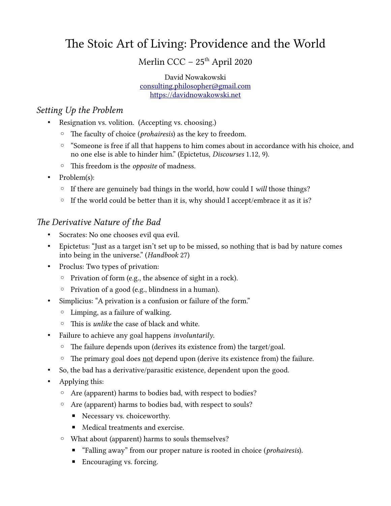# The Stoic Art of Living: Providence and the World

Merlin CCC - 25<sup>th</sup> April 2020

David Nowakowski [consulting.philosopher@gmail.com](mailto:consulting.philosopher@gmail.com) [https://davidnowakowski.net](https://davidnowakowski.net/)

#### Setting Up the Problem

- Resignation vs. volition. (Accepting vs. choosing.)
	- The faculty of choice (prohairesis) as the key to freedom.
	- "Someone is free if all that happens to him comes about in accordance with his choice, and no one else is able to hinder him." (Epictetus, Discourses 1.12, 9).
	- This freedom is the opposite of madness.
- Problem(s):
	- If there are genuinely bad things in the world, how could I will those things?
	- If the world could be better than it is, why should I accept/embrace it as it is?

## The Derivative Nature of the Bad

- Socrates: No one chooses evil qua evil.
- Epictetus: "Just as a target isn't set up to be missed, so nothing that is bad by nature comes into being in the universe." (Handbook 27)
- Proclus: Two types of privation:
	- Privation of form (e.g., the absence of sight in a rock).
	- Privation of a good (e.g., blindness in a human).
- Simplicius: "A privation is a confusion or failure of the form."
	- Limping, as a failure of walking.
	- This is unlike the case of black and white.
- Failure to achieve any goal happens *involuntarily*.
	- The failure depends upon (derives its existence from) the target/goal.
	- The primary goal does not depend upon (derive its existence from) the failure.
- So, the bad has a derivative/parasitic existence, dependent upon the good.
- Applying this:
	- Are (apparent) harms to bodies bad, with respect to bodies?
	- Are (apparent) harms to bodies bad, with respect to souls?
		- Necessary vs. choiceworthy.
		- Medical treatments and exercise.
	- What about (apparent) harms to souls themselves?
		- "Falling away" from our proper nature is rooted in choice (*prohairesis*).
		- Encouraging vs. forcing.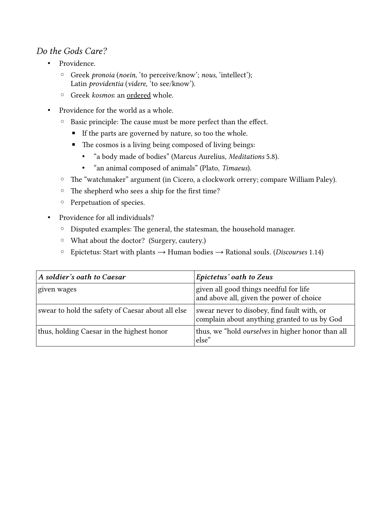### Do the Gods Care?

- Providence.
	- Greek pronoia (noein, 'to perceive/know'; nous, 'intellect'); Latin providentia (videre, 'to see/know').
	- Greek kosmos: an ordered whole.
- Providence for the world as a whole.
	- Basic principle: The cause must be more perfect than the effect.
		- **If the parts are governed by nature, so too the whole.**
		- The cosmos is a living being composed of living beings:
			- "a body made of bodies" (Marcus Aurelius, Meditations 5.8).
			- "an animal composed of animals" (Plato, Timaeus).
	- The "watchmaker" argument (in Cicero, a clockwork orrery; compare William Paley).
	- The shepherd who sees a ship for the first time?
	- Perpetuation of species.
- Providence for all individuals?
	- Disputed examples: The general, the statesman, the household manager.
	- What about the doctor? (Surgery, cautery.)
	- Epictetus: Start with plants → Human bodies → Rational souls. (Discourses 1.14)

| A soldier's oath to Caesar                        | Epictetus' oath to Zeus                                                                     |
|---------------------------------------------------|---------------------------------------------------------------------------------------------|
| given wages                                       | given all good things needful for life<br>and above all, given the power of choice          |
| swear to hold the safety of Caesar about all else | swear never to disobey, find fault with, or<br>complain about anything granted to us by God |
| thus, holding Caesar in the highest honor         | thus, we "hold <i>ourselves</i> in higher honor than all<br>else"                           |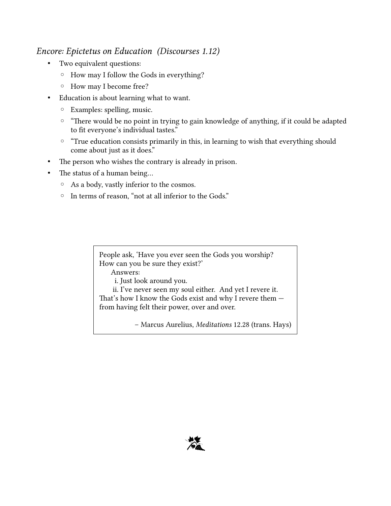#### Encore: Epictetus on Education (Discourses 1.12)

- Two equivalent questions:
	- How may I follow the Gods in everything?
	- How may I become free?
- Education is about learning what to want.
	- Examples: spelling, music.
	- "There would be no point in trying to gain knowledge of anything, if it could be adapted to fit everyone's individual tastes."
	- "True education consists primarily in this, in learning to wish that everything should come about just as it does."
- The person who wishes the contrary is already in prison.
- The status of a human being...
	- As a body, vastly inferior to the cosmos.
	- In terms of reason, "not at all inferior to the Gods."

People ask, 'Have you ever seen the Gods you worship? How can you be sure they exist?' Answers: i. Just look around you.

ii. I've never seen my soul either. And yet I revere it. That's how I know the Gods exist and why I revere them from having felt their power, over and over.

– Marcus Aurelius, Meditations 12.28 (trans. Hays)